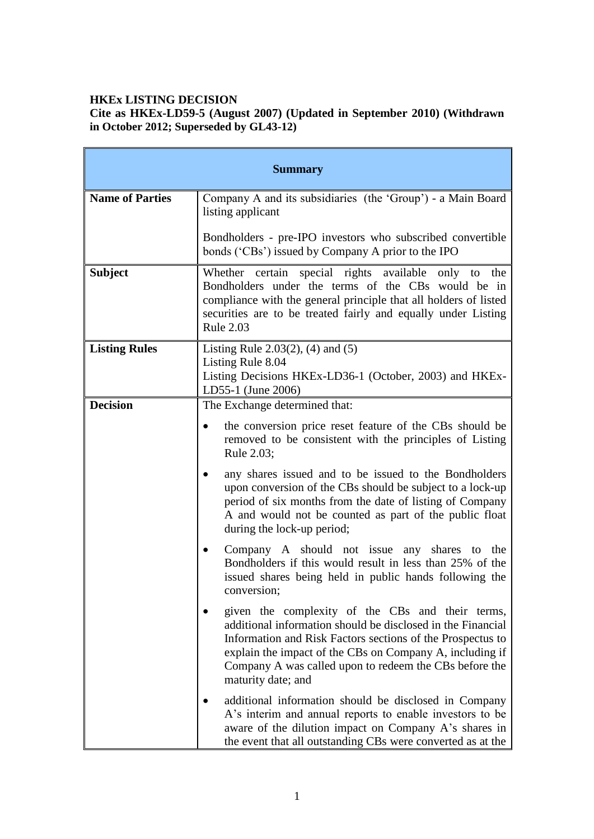# **HKEx LISTING DECISION**

**Cite as HKEx-LD59-5 (August 2007) (Updated in September 2010) (Withdrawn in October 2012; Superseded by GL43-12)**

|                        | <b>Summary</b>                                                                                                                                                                                                                                                                                                            |
|------------------------|---------------------------------------------------------------------------------------------------------------------------------------------------------------------------------------------------------------------------------------------------------------------------------------------------------------------------|
| <b>Name of Parties</b> | Company A and its subsidiaries (the 'Group') - a Main Board<br>listing applicant                                                                                                                                                                                                                                          |
|                        | Bondholders - pre-IPO investors who subscribed convertible<br>bonds ('CBs') issued by Company A prior to the IPO                                                                                                                                                                                                          |
| <b>Subject</b>         | Whether certain special rights available only to the<br>Bondholders under the terms of the CBs would be in<br>compliance with the general principle that all holders of listed<br>securities are to be treated fairly and equally under Listing<br><b>Rule 2.03</b>                                                       |
| <b>Listing Rules</b>   | Listing Rule 2.03 $(2)$ , $(4)$ and $(5)$<br>Listing Rule 8.04<br>Listing Decisions HKEx-LD36-1 (October, 2003) and HKEx-<br>LD55-1 (June 2006)                                                                                                                                                                           |
| <b>Decision</b>        | The Exchange determined that:                                                                                                                                                                                                                                                                                             |
|                        | the conversion price reset feature of the CBs should be<br>removed to be consistent with the principles of Listing<br>Rule 2.03;                                                                                                                                                                                          |
|                        | any shares issued and to be issued to the Bondholders<br>upon conversion of the CBs should be subject to a lock-up<br>period of six months from the date of listing of Company<br>A and would not be counted as part of the public float<br>during the lock-up period;                                                    |
|                        | Company A should not issue any shares to the<br>٠<br>Bondholders if this would result in less than 25% of the<br>issued shares being held in public hands following the<br>conversion;                                                                                                                                    |
|                        | given the complexity of the CBs and their terms,<br>additional information should be disclosed in the Financial<br>Information and Risk Factors sections of the Prospectus to<br>explain the impact of the CBs on Company A, including if<br>Company A was called upon to redeem the CBs before the<br>maturity date; and |
|                        | additional information should be disclosed in Company<br>A's interim and annual reports to enable investors to be<br>aware of the dilution impact on Company A's shares in<br>the event that all outstanding CBs were converted as at the                                                                                 |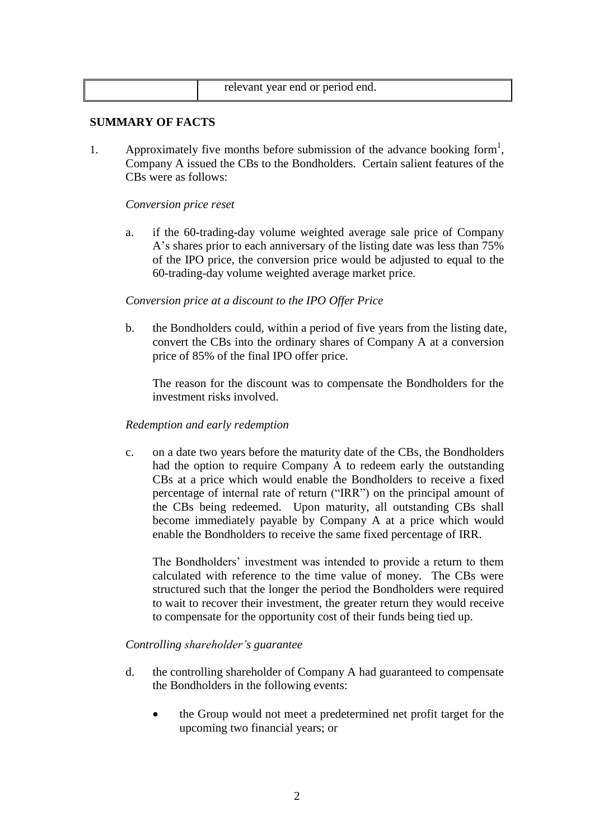| relevant year end or period end. |
|----------------------------------|
|----------------------------------|

## **SUMMARY OF FACTS**

1. Approximately five months before submission of the advance booking form<sup>1</sup>, Company A issued the CBs to the Bondholders. Certain salient features of the CBs were as follows:

## *Conversion price reset*

a. if the 60-trading-day volume weighted average sale price of Company A"s shares prior to each anniversary of the listing date was less than 75% of the IPO price, the conversion price would be adjusted to equal to the 60-trading-day volume weighted average market price.

## *Conversion price at a discount to the IPO Offer Price*

b. the Bondholders could, within a period of five years from the listing date, convert the CBs into the ordinary shares of Company A at a conversion price of 85% of the final IPO offer price.

The reason for the discount was to compensate the Bondholders for the investment risks involved.

### *Redemption and early redemption*

c. on a date two years before the maturity date of the CBs, the Bondholders had the option to require Company A to redeem early the outstanding CBs at a price which would enable the Bondholders to receive a fixed percentage of internal rate of return ("IRR") on the principal amount of the CBs being redeemed. Upon maturity, all outstanding CBs shall become immediately payable by Company A at a price which would enable the Bondholders to receive the same fixed percentage of IRR.

The Bondholders' investment was intended to provide a return to them calculated with reference to the time value of money. The CBs were structured such that the longer the period the Bondholders were required to wait to recover their investment, the greater return they would receive to compensate for the opportunity cost of their funds being tied up.

## *Controlling shareholder's guarantee*

- d. the controlling shareholder of Company A had guaranteed to compensate the Bondholders in the following events:
	- the Group would not meet a predetermined net profit target for the upcoming two financial years; or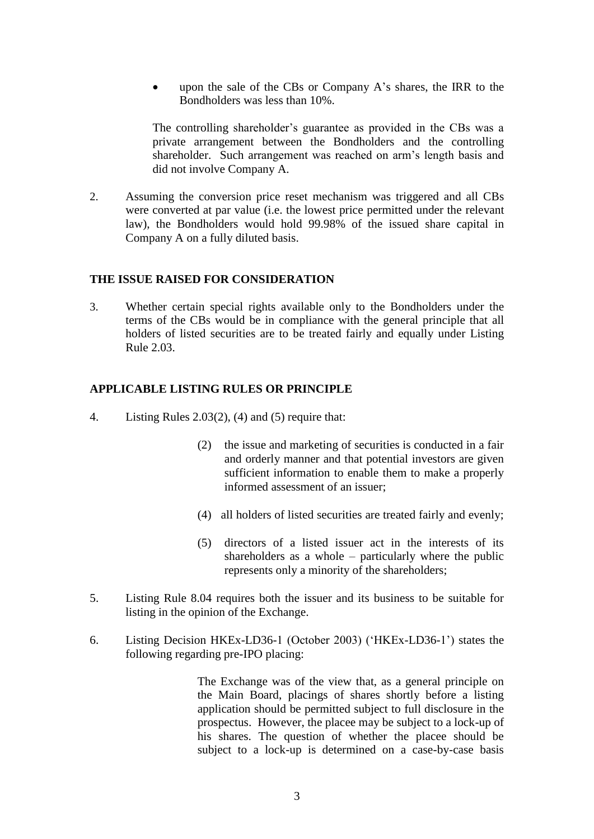upon the sale of the CBs or Company A"s shares, the IRR to the Bondholders was less than 10%.

The controlling shareholder"s guarantee as provided in the CBs was a private arrangement between the Bondholders and the controlling shareholder. Such arrangement was reached on arm"s length basis and did not involve Company A.

2. Assuming the conversion price reset mechanism was triggered and all CBs were converted at par value (i.e. the lowest price permitted under the relevant law), the Bondholders would hold 99.98% of the issued share capital in Company A on a fully diluted basis.

### **THE ISSUE RAISED FOR CONSIDERATION**

3. Whether certain special rights available only to the Bondholders under the terms of the CBs would be in compliance with the general principle that all holders of listed securities are to be treated fairly and equally under Listing Rule 2.03.

### **APPLICABLE LISTING RULES OR PRINCIPLE**

- 4. Listing Rules 2.03(2), (4) and (5) require that:
	- (2) the issue and marketing of securities is conducted in a fair and orderly manner and that potential investors are given sufficient information to enable them to make a properly informed assessment of an issuer;
	- (4) all holders of listed securities are treated fairly and evenly;
	- (5) directors of a listed issuer act in the interests of its shareholders as a whole – particularly where the public represents only a minority of the shareholders;
- 5. Listing Rule 8.04 requires both the issuer and its business to be suitable for listing in the opinion of the Exchange.
- 6. Listing Decision HKEx-LD36-1 (October 2003) ("HKEx-LD36-1") states the following regarding pre-IPO placing:

The Exchange was of the view that, as a general principle on the Main Board, placings of shares shortly before a listing application should be permitted subject to full disclosure in the prospectus. However, the placee may be subject to a lock-up of his shares. The question of whether the placee should be subject to a lock-up is determined on a case-by-case basis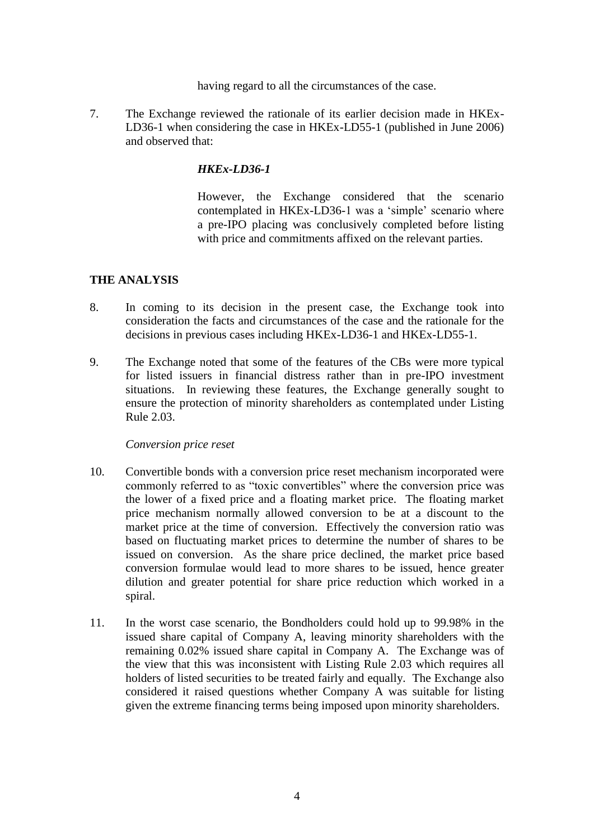having regard to all the circumstances of the case.

7. The Exchange reviewed the rationale of its earlier decision made in HKEx-LD36-1 when considering the case in HKEx-LD55-1 (published in June 2006) and observed that:

# *HKEx-LD36-1*

However, the Exchange considered that the scenario contemplated in HKEx-LD36-1 was a "simple" scenario where a pre-IPO placing was conclusively completed before listing with price and commitments affixed on the relevant parties.

## **THE ANALYSIS**

- 8. In coming to its decision in the present case, the Exchange took into consideration the facts and circumstances of the case and the rationale for the decisions in previous cases including HKEx-LD36-1 and HKEx-LD55-1.
- 9. The Exchange noted that some of the features of the CBs were more typical for listed issuers in financial distress rather than in pre-IPO investment situations. In reviewing these features, the Exchange generally sought to ensure the protection of minority shareholders as contemplated under Listing Rule 2.03.

## *Conversion price reset*

- 10. Convertible bonds with a conversion price reset mechanism incorporated were commonly referred to as "toxic convertibles" where the conversion price was the lower of a fixed price and a floating market price. The floating market price mechanism normally allowed conversion to be at a discount to the market price at the time of conversion. Effectively the conversion ratio was based on fluctuating market prices to determine the number of shares to be issued on conversion. As the share price declined, the market price based conversion formulae would lead to more shares to be issued, hence greater dilution and greater potential for share price reduction which worked in a spiral.
- 11. In the worst case scenario, the Bondholders could hold up to 99.98% in the issued share capital of Company A, leaving minority shareholders with the remaining 0.02% issued share capital in Company A. The Exchange was of the view that this was inconsistent with Listing Rule 2.03 which requires all holders of listed securities to be treated fairly and equally. The Exchange also considered it raised questions whether Company A was suitable for listing given the extreme financing terms being imposed upon minority shareholders.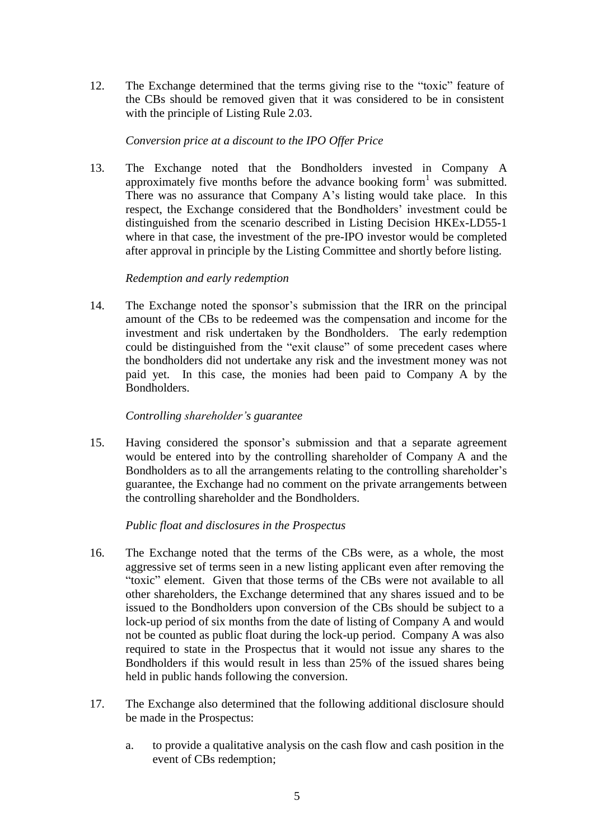12. The Exchange determined that the terms giving rise to the "toxic" feature of the CBs should be removed given that it was considered to be in consistent with the principle of Listing Rule 2.03.

## *Conversion price at a discount to the IPO Offer Price*

13. The Exchange noted that the Bondholders invested in Company A approximately five months before the advance booking form<sup>1</sup> was submitted. There was no assurance that Company A's listing would take place. In this respect, the Exchange considered that the Bondholders' investment could be distinguished from the scenario described in Listing Decision HKEx-LD55-1 where in that case, the investment of the pre-IPO investor would be completed after approval in principle by the Listing Committee and shortly before listing.

### *Redemption and early redemption*

14. The Exchange noted the sponsor"s submission that the IRR on the principal amount of the CBs to be redeemed was the compensation and income for the investment and risk undertaken by the Bondholders. The early redemption could be distinguished from the "exit clause" of some precedent cases where the bondholders did not undertake any risk and the investment money was not paid yet. In this case, the monies had been paid to Company A by the Bondholders.

### *Controlling shareholder's guarantee*

15. Having considered the sponsor"s submission and that a separate agreement would be entered into by the controlling shareholder of Company A and the Bondholders as to all the arrangements relating to the controlling shareholder"s guarantee, the Exchange had no comment on the private arrangements between the controlling shareholder and the Bondholders.

## *Public float and disclosures in the Prospectus*

- 16. The Exchange noted that the terms of the CBs were, as a whole, the most aggressive set of terms seen in a new listing applicant even after removing the "toxic" element. Given that those terms of the CBs were not available to all other shareholders, the Exchange determined that any shares issued and to be issued to the Bondholders upon conversion of the CBs should be subject to a lock-up period of six months from the date of listing of Company A and would not be counted as public float during the lock-up period. Company A was also required to state in the Prospectus that it would not issue any shares to the Bondholders if this would result in less than 25% of the issued shares being held in public hands following the conversion.
- 17. The Exchange also determined that the following additional disclosure should be made in the Prospectus:
	- a. to provide a qualitative analysis on the cash flow and cash position in the event of CBs redemption;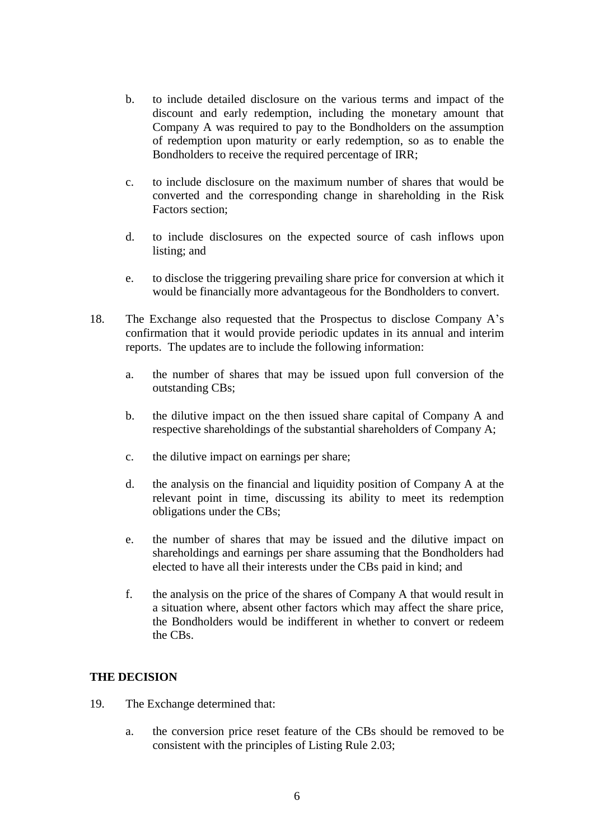- b. to include detailed disclosure on the various terms and impact of the discount and early redemption, including the monetary amount that Company A was required to pay to the Bondholders on the assumption of redemption upon maturity or early redemption, so as to enable the Bondholders to receive the required percentage of IRR;
- c. to include disclosure on the maximum number of shares that would be converted and the corresponding change in shareholding in the Risk Factors section;
- d. to include disclosures on the expected source of cash inflows upon listing; and
- e. to disclose the triggering prevailing share price for conversion at which it would be financially more advantageous for the Bondholders to convert.
- 18. The Exchange also requested that the Prospectus to disclose Company A"s confirmation that it would provide periodic updates in its annual and interim reports. The updates are to include the following information:
	- a. the number of shares that may be issued upon full conversion of the outstanding CBs;
	- b. the dilutive impact on the then issued share capital of Company A and respective shareholdings of the substantial shareholders of Company A;
	- c. the dilutive impact on earnings per share;
	- d. the analysis on the financial and liquidity position of Company A at the relevant point in time, discussing its ability to meet its redemption obligations under the CBs;
	- e. the number of shares that may be issued and the dilutive impact on shareholdings and earnings per share assuming that the Bondholders had elected to have all their interests under the CBs paid in kind; and
	- f. the analysis on the price of the shares of Company A that would result in a situation where, absent other factors which may affect the share price, the Bondholders would be indifferent in whether to convert or redeem the CBs.

## **THE DECISION**

- 19. The Exchange determined that:
	- a. the conversion price reset feature of the CBs should be removed to be consistent with the principles of Listing Rule 2.03;